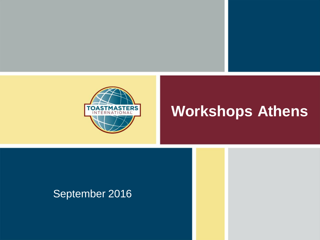

#### **Workshops Athens**

#### September 2016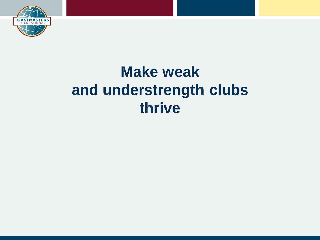

#### **Make weak and understrength clubs thrive**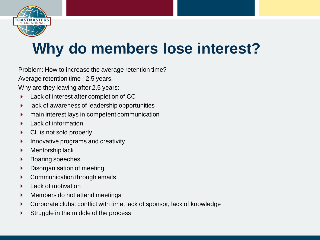

# **Why do members lose interest?**

Problem: How to increase the average retention time?

Average retention time : 2,5 years.

Why are they leaving after 2,5 years:

- Lack of interest after completion of CC
- lack of awareness of leadership opportunities
- main interest lays in competent communication
- Lack of information
- ▶ CL is not sold properly
- $\blacktriangleright$  Innovative programs and creativity
- **Mentorship lack**
- ▶ Boaring speeches
- Disorganisation of meeting
- Communication through emails
- Lack of motivation
- **Members do not attend meetings**
- Corporate clubs: conflict with time, lack of sponsor, lack of knowledge
- Struggle in the middle of the process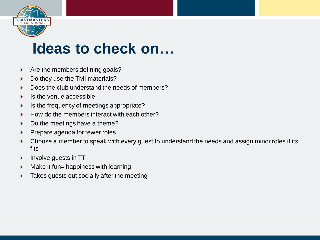

#### **Ideas to check on…**

- $\triangleright$  Are the members defining goals?
- Do they use the TMI materials?
- Does the club understand the needs of members?
- Is the venue accessible
- $\blacktriangleright$  Is the frequency of meetings appropriate?
- $\blacktriangleright$  How do the members interact with each other?
- $\triangleright$  Do the meetings have a theme?
- Prepare agenda for fewer roles
- Choose a member to speak with every guest to understand the needs and assign minor roles if its fits
- **Involve guests in TT**
- $\blacktriangleright$  Make it fun= happiness with learning
- Takes guests out socially after the meeting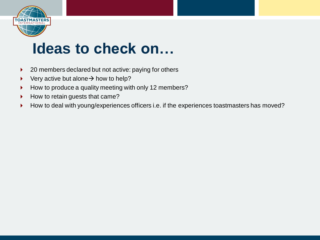

#### **Ideas to check on…**

- ▶ 20 members declared but not active: paying for others
- $\triangleright$  Very active but alone  $\rightarrow$  how to help?
- How to produce a quality meeting with only 12 members?
- How to retain guests that came?
- How to deal with young/experiences officers i.e. if the experiences toastmasters has moved?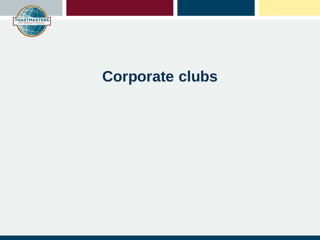

## **Corporate clubs**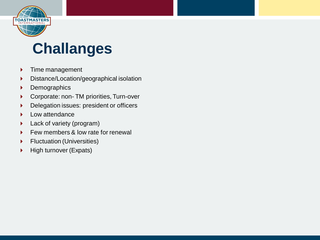

#### **Challanges**

- **Fime management**
- Distance/Location/geographical isolation
- **Demographics**
- Corporate: non- TM priorities, Turn-over
- Delegation issues: president or officers
- **Low attendance**
- **Lack of variety (program)**
- Few members & low rate for renewal
- **Fluctuation (Universities)**
- $\blacktriangleright$  High turnover (Expats)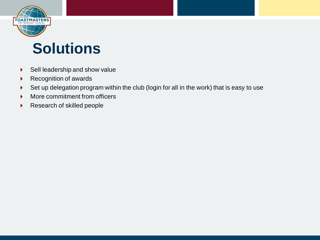

#### **Solutions**

- Sell leadership and show value
- ▶ Recognition of awards
- Set up delegation program within the club (login for all in the work) that is easy to use
- **More commitment from officers**
- Research of skilled people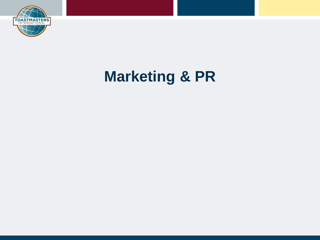

## **Marketing & PR**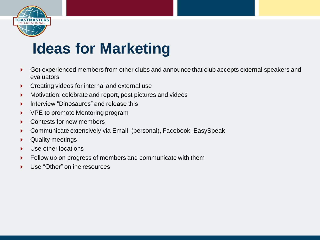

## **Ideas for Marketing**

- Get experienced members from other clubs and announce that club accepts external speakers and evaluators
- **Creating videos for internal and external use**
- **Motivation: celebrate and report, post pictures and videos**
- Interview "Dinosaures" and release this
- ▶ VPE to promote Mentoring program
- Contests for new members
- Communicate extensively via Email (personal), Facebook, EasySpeak
- Quality meetings
- Use other locations
- Follow up on progress of members and communicate with them
- Use "Other" online resources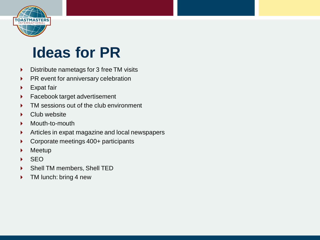

## **Ideas for PR**

- Distribute nametags for 3 free TM visits
- $\triangleright$  PR event for anniversary celebration
- ▶ Expat fair
- **Facebook target advertisement**
- TM sessions out of the club environment
- ▶ Club website
- Mouth-to-mouth
- Articles in expat magazine and local newspapers
- ▶ Corporate meetings 400+ participants
- Meetup
- SEO
- Shell TM members, Shell TED
- TM lunch: bring 4 new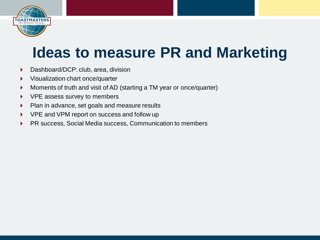

#### **Ideas to measure PR and Marketing**

- Dashboard/DCP: club, area, division
- **Visualization chart once/quarter**
- Moments of truth and visit of AD (starting a TM year or once/quarter)
- ▶ VPE assess survey to members
- **Plan in advance, set goals and measure results**
- ▶ VPE and VPM report on success and follow up
- ▶ PR success, Social Media success, Communication to members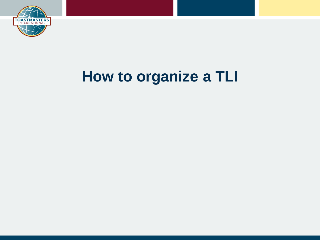

#### **How to organize a TLI**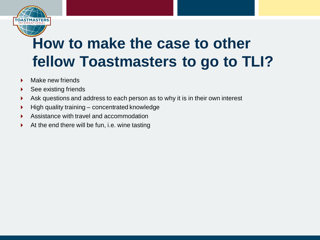

## **How to make the case to other fellow Toastmasters to go to TLI?**

- $\blacktriangleright$  Make new friends
- ▶ See existing friends
- Ask questions and address to each person as to why it is in their own interest
- $\blacktriangleright$  High quality training concentrated knowledge
- Assistance with travel and accommodation
- $\blacktriangleright$  At the end there will be fun, i.e. wine tasting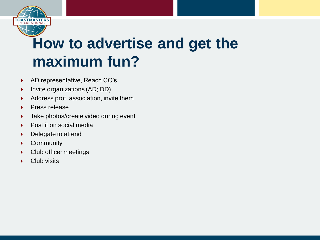

## **How to advertise and get the maximum fun?**

- ▶ AD representative, Reach CO's
- ▶ Invite organizations (AD; DD)
- Address prof. association, invite them
- **Press release**
- **Take photos/create video during event**
- ▶ Post it on social media
- Delegate to attend
- ▶ Community
- ▶ Club officer meetings
- Club visits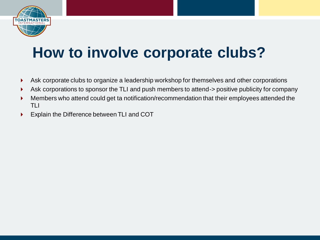

## **How to involve corporate clubs?**

- Ask corporate clubs to organize a leadership workshop for themselves and other corporations
- Ask corporations to sponsor the TLI and push members to attend-> positive publicity for company
- **Members who attend could get ta notification/recommendation that their employees attended the** TLI
- Explain the Difference between TLI and COT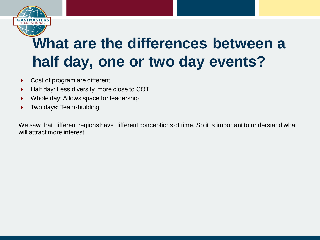

## **What are the differences between a half day, one or two day events?**

- ▶ Cost of program are different
- $\blacktriangleright$  Half day: Less diversity, more close to COT
- ▶ Whole day: Allows space for leadership
- Two days: Team-building

We saw that different regions have different conceptions of time. So it is important to understand what will attract more interest.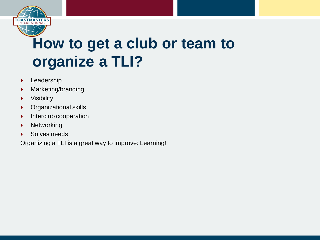

## **How to get a club or team to organize a TLI?**

- **Leadership**
- **Marketing/branding**
- $\blacktriangleright$  Visibility
- Organizational skills
- **Interclub cooperation**
- **Networking**
- ▶ Solves needs

Organizing a TLI is a great way to improve: Learning!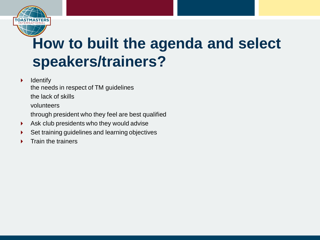

## **How to built the agenda and select speakers/trainers?**

 $\blacktriangleright$  Identify

the needs in respect of TM guidelines

the lack of skills

volunteers

through president who they feel are best qualified

- Ask club presidents who they would advise
- Set training guidelines and learning objectives
- Train the trainers